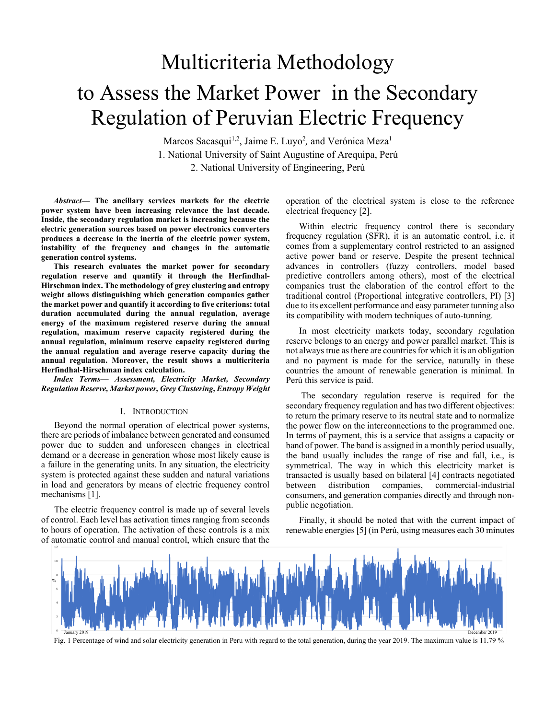# Multicriteria Methodology to Assess the Market Power in the Secondary Regulation of Peruvian Electric Frequency

Marcos Sacasqui<sup>1,2</sup>, Jaime E. Luyo<sup>2</sup>, and Verónica Meza<sup>1</sup> 1. National University of Saint Augustine of Arequipa, Perú 2. National University of Engineering, Perú

*Abstract***— The ancillary services markets for the electric power system have been increasing relevance the last decade. Inside, the secondary regulation market is increasing because the electric generation sources based on power electronics converters produces a decrease in the inertia of the electric power system, instability of the frequency and changes in the automatic generation control systems.** 

**This research evaluates the market power for secondary regulation reserve and quantify it through the Herfindhal-Hirschman index. The methodology of grey clustering and entropy weight allows distinguishing which generation companies gather the market power and quantify it according to five criterions: total duration accumulated during the annual regulation, average energy of the maximum registered reserve during the annual regulation, maximum reserve capacity registered during the annual regulation, minimum reserve capacity registered during the annual regulation and average reserve capacity during the annual regulation. Moreover, the result shows a multicriteria Herfindhal-Hirschman index calculation.**

*Index Terms— Assessment, Electricity Market, Secondary Regulation Reserve, Market power, Grey Clustering, Entropy Weight*

#### I. INTRODUCTION

Beyond the normal operation of electrical power systems, there are periods of imbalance between generated and consumed power due to sudden and unforeseen changes in electrical demand or a decrease in generation whose most likely cause is a failure in the generating units. In any situation, the electricity system is protected against these sudden and natural variations in load and generators by means of electric frequency control mechanisms [1].

The electric frequency control is made up of several levels of control. Each level has activation times ranging from seconds to hours of operation. The activation of these controls is a mix of automatic control and manual control, which ensure that the

operation of the electrical system is close to the reference electrical frequency [2].

Within electric frequency control there is secondary frequency regulation (SFR), it is an automatic control, i.e. it comes from a supplementary control restricted to an assigned active power band or reserve. Despite the present technical advances in controllers (fuzzy controllers, model based predictive controllers among others), most of the electrical companies trust the elaboration of the control effort to the traditional control (Proportional integrative controllers, PI) [3] due to its excellent performance and easy parameter tunning also its compatibility with modern techniques of auto-tunning.

In most electricity markets today, secondary regulation reserve belongs to an energy and power parallel market. This is not always true as there are countries for which it is an obligation and no payment is made for the service, naturally in these countries the amount of renewable generation is minimal. In Perú this service is paid.

The secondary regulation reserve is required for the secondary frequency regulation and has two different objectives: to return the primary reserve to its neutral state and to normalize the power flow on the interconnections to the programmed one. In terms of payment, this is a service that assigns a capacity or band of power. The band is assigned in a monthly period usually, the band usually includes the range of rise and fall, i.e., is symmetrical. The way in which this electricity market is transacted is usually based on bilateral [4] contracts negotiated between distribution companies, commercial-industrial consumers, and generation companies directly and through nonpublic negotiation.

Finally, it should be noted that with the current impact of renewable energies [5] (in Perú, using measures each 30 minutes



Fig. 1 Percentage of wind and solar electricity generation in Peru with regard to the total generation, during the year 2019. The maximum value is 11.79 %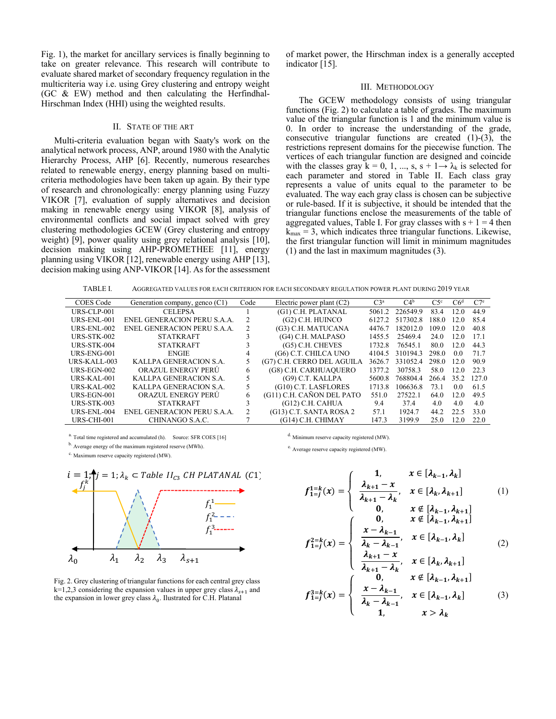Fig. 1), the market for ancillary services is finally beginning to take on greater relevance. This research will contribute to evaluate shared market of secondary frequency regulation in the multicriteria way i.e. using Grey clustering and entropy weight (GC & EW) method and then calculating the Herfindhal-Hirschman Index (HHI) using the weighted results.

## II. STATE OF THE ART

Multi-criteria evaluation began with Saaty's work on the analytical network process, ANP, around 1980 with the Analytic Hierarchy Process, AHP [6]. Recently, numerous researches related to renewable energy, energy planning based on multicriteria methodologies have been taken up again. By their type of research and chronologically: energy planning using Fuzzy VIKOR [7], evaluation of supply alternatives and decision making in renewable energy using VIKOR [8], analysis of environmental conflicts and social impact solved with grey clustering methodologies GCEW (Grey clustering and entropy weight) [9], power quality using grey relational analysis [10], decision making using AHP-PROMETHEE [11], energy planning using VIKOR [12], renewable energy using AHP [13], decision making using ANP-VIKOR [14]. As for the assessment

of market power, the Hirschman index is a generally accepted indicator [15].

#### III. METHODOLOGY

The GCEW methodology consists of using triangular functions (Fig. 2) to calculate a table of grades. The maximum value of the triangular function is 1 and the minimum value is 0. In order to increase the understanding of the grade, consecutive triangular functions are created (1)-(3), the restrictions represent domains for the piecewise function. The vertices of each triangular function are designed and coincide with the classes gray  $k = 0, 1, ..., s, s + 1 \rightarrow \lambda_k$  is selected for each parameter and stored in Table II. Each class gray represents a value of units equal to the parameter to be evaluated. The way each gray class is chosen can be subjective or rule-based. If it is subjective, it should be intended that the triangular functions enclose the measurements of the table of aggregated values, Table I. For gray classes with  $s + 1 = 4$  then  $k_{\text{max}} = 3$ , which indicates three triangular functions. Likewise, the first triangular function will limit in minimum magnitudes (1) and the last in maximum magnitudes (3).

| TABLE I. | AGGREGATED VALUES FOR EACH CRITERION FOR EACH SECONDARY REGULATION POWER PLANT DURING 2019 YEAR |  |
|----------|-------------------------------------------------------------------------------------------------|--|
|----------|-------------------------------------------------------------------------------------------------|--|

| COES Code      | Generation company, genco (C1) | Code | Electric power plant $(C2)$ | $C3^a$ | C4 <sup>b</sup> | $C5^{\circ}$ | C6 <sup>d</sup> | C7 <sup>e</sup> |
|----------------|--------------------------------|------|-----------------------------|--------|-----------------|--------------|-----------------|-----------------|
| $URS-CLP-001$  | <b>CELEPSA</b>                 |      | (G1) C.H. PLATANAL          | 5061.2 | 226549.9        | 83.4         | 12.0            | 44.9            |
| URS-ENL-001    | ENEL GENERACION PERU S.A.A.    | 2    | (G2) C.H. HUINCO            | 6127.2 | 517302.8        | 188.0        | 12.0            | 85.4            |
| URS-ENL- $002$ | ENEL GENERACION PERU S.A.A.    | 2    | (G3) C.H. MATUCANA          | 4476.7 | 182012.0        | 109.0        | 12.0            | 40.8            |
| URS-STK- $002$ | <b>STATKRAFT</b>               |      | (G4) C.H. MALPASO           | 1455.5 | 25469.4         | 24.0         | 12.0            | 17.1            |
| URS-STK-004    | <b>STATKRAFT</b>               |      | $(G5)$ C.H. CHEVES          | 1732.8 | 76545.1         | 80.0         | 12.0            | 44.3            |
| URS-ENG-001    | <b>ENGIE</b>                   | 4    | (G6) C.T. CHILCA UNO        | 4104.5 | 310194.3        | 298.0        | 0.0             | 71.7            |
| URS-KALL-003   | KALLPA GENERACION S.A.         |      | (G7) C.H. CERRO DEL AGUILA  | 3626.7 | 331052.4        | 298.0        | 12.0            | 90.9            |
| URS-EGN-002    | ORAZUL ENERGY PERU             | 6    | (G8) C.H. CARHUAQUERO       | 1377.2 | 30758.3         | 58.0         | 12.0            | 22.3            |
| $URS-KAI-001$  | KALLPA GENERACION S.A.         |      | (G9) C.T. KALLPA            | 5600.8 | 768804.4        | 266.4        | 35.2            | 127.0           |
| URS-KAL-002    | KALLPA GENERACION S.A.         |      | (G10) C.T. LASFLORES        | 1713.8 | 106636.8        | 73.1         | 0.0             | 61.5            |
| $URS-EGN-001$  | ORAZUL ENERGY PERU             | 6    | (G11) C.H. CAÑON DEL PATO   | 551.0  | 27522.1         | 64.0         | 12.0            | 49.5            |
| URS-STK- $003$ | <b>STATKRAFT</b>               |      | $(G12)$ C.H. CAHUA          | 9.4    | 37.4            | 4.0          | 4.0             | 4.0             |
| URS-ENL-004    | ENEL GENERACION PERU S.A.A.    |      | (G13) C.T. SANTA ROSA 2     | 57.1   | 1924.7          | 44.2         | 22.5            | 33.0            |
| $URS-CHI-001$  | CHINANGO S.A.C.                |      | (G14) C.H. CHIMAY           | 147.3  | 3199.9          | 25.0         | 12.0            | 22.0            |

a. Total time registered and accumulated (h). Source: SFR COES [16]

b. Average energy of the maximum registered reserve (MWh).

c. Maximum reserve capacity registered (MW).



Fig. 2. Grey clustering of triangular functions for each central grey class  $k=1,2,3$  considering the expansion values in upper grey class  $\lambda_{s+1}$  and the expansion in lower grey class  $\lambda_0$ . Ilustrated for C.H. Platanal

d. Minimum reserve capacity registered (MW).

e. Average reserve capacity registered (MW).

$$
f_{1=j}^{1=k}(x) = \begin{cases} 1, & x \in [\lambda_{k-1}, \lambda_k] \\ \frac{\lambda_{k+1} - x}{\lambda_{k+1} - \lambda_k}, & x \in [\lambda_k, \lambda_{k+1}] \\ 0, & x \notin [\lambda_{k-1}, \lambda_{k+1}] \\ 0, & x \notin [\lambda_{k-1}, \lambda_{k+1}] \end{cases} (1)
$$

$$
f_{1=j}^{2=k}(x) = \begin{cases} 0, & x \notin [\lambda_{k-1}, \lambda_{k+1}] \\ \frac{x - \lambda_{k-1}}{\lambda_k - \lambda_{k-1}}, & x \in [\lambda_{k-1}, \lambda_k] \\ \frac{\lambda_{k+1} - x}{\lambda_k - \lambda_k}, & x \in [\lambda_k, \lambda_{k+1}] \end{cases}
$$
(2)

$$
f_{1=j}^{3=k}(x) = \begin{cases} \n\lambda_{k+1} - \lambda_k & x \in [n_k, n_{k+1}] \\ \n0, & x \notin [\lambda_{k-1}, \lambda_{k+1}] \\ \n\lambda_k - \lambda_{k-1}, & x \in [\lambda_{k-1}, \lambda_k] \\ \n1, & x > \lambda_k \n\end{cases} \tag{3}
$$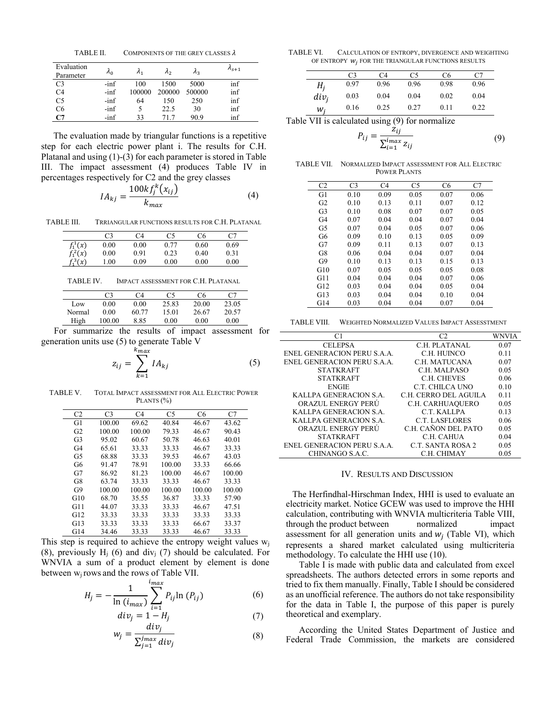TABLE II. COMPONENTS OF THE GREY CLASSES  $\lambda$ 

| Evaluation<br>Parameter | $\lambda_0$ | $\Lambda_1$ | $\lambda$ <sub>2</sub> | $\mathcal{A}_2$ | $n_{s+1}$ |
|-------------------------|-------------|-------------|------------------------|-----------------|-----------|
| C <sub>3</sub>          | $-inf$      | 100         | 1500                   | 5000            | inf       |
| C <sub>4</sub>          | $-inf$      | 100000      | 200000                 | 500000          | inf       |
| C <sub>5</sub>          | $-inf$      | 64          | 150                    | 250             | inf       |
| C6                      | $-inf$      |             | 22.5                   | 30              | inf       |
| C7                      | $-inf$      | 33          | 71.7                   | 90.9            | inf       |

The evaluation made by triangular functions is a repetitive step for each electric power plant i. The results for C.H. Platanal and using (1)-(3) for each parameter is stored in Table III. The impact assessment (4) produces Table IV in percentages respectively for C2 and the grey classes

$$
IA_{kj} = \frac{100kf_j^k(x_{ij})}{k_{max}}\tag{4}
$$

TABLE III. TRRIANGULAR FUNCTIONS RESULTS FOR C.H. PLATANAL

|            | C3   | C4   | C5   | C6   | C7   |
|------------|------|------|------|------|------|
| $f_1^1(x)$ | 0.00 | 0.00 | 0.77 | 0.60 | 0.69 |
| $f_1^2(x)$ | 0.00 | 0.91 | 0.23 | 0.40 | 0.31 |
| $f_1^3(x)$ | 1.00 | 0.09 | 0.00 | 0.00 | 0.00 |
|            |      |      |      |      |      |

TABLE IV. IMPACT ASSESSMENT FOR C.H. PLATANAL

|        | C <sub>3</sub> | C4    | C5    | C6    | C <sub>7</sub> |
|--------|----------------|-------|-------|-------|----------------|
| Low    | 0.00           | 0.00  | 25.83 | 20.00 | 23.05          |
| Normal | 0.00           | 60.77 | 15.01 | 26.67 | 20.57          |
| High   | 100.00         | 8.85  | 0.00  | 0.00  | 0.00           |

For summarize the results of impact assessment for generation units use (5) to generate Table V

$$
z_{ij} = \sum_{k=1}^{k_{max}} I A_{kj} \tag{5}
$$

TABLE V. TOTAL IMPACT ASSESSMENT FOR ALL ELECTRIC POWER PLANTS (%)

| C <sub>2</sub> | C <sub>3</sub> | C4     | C <sub>5</sub> | C <sub>6</sub> | C7     |
|----------------|----------------|--------|----------------|----------------|--------|
| G1             | 100.00         | 69.62  | 40.84          | 46.67          | 43.62  |
| G <sub>2</sub> | 100.00         | 100.00 | 79.33          | 46.67          | 90.43  |
| G <sub>3</sub> | 95.02          | 60.67  | 50.78          | 46.63          | 40.01  |
| G <sub>4</sub> | 65.61          | 33.33  | 33.33          | 46.67          | 33.33  |
| G5             | 68.88          | 33.33  | 39.53          | 46.67          | 43.03  |
| G6             | 91.47          | 78.91  | 100.00         | 33.33          | 66.66  |
| G7             | 86.92          | 81.23  | 100.00         | 46.67          | 100.00 |
| G8             | 63.74          | 33.33  | 33.33          | 46.67          | 33.33  |
| G9             | 100.00         | 100.00 | 100.00         | 100.00         | 100.00 |
| G10            | 68.70          | 35.55  | 36.87          | 33.33          | 57.90  |
| G11            | 44.07          | 33.33  | 33.33          | 46.67          | 47.51  |
| G12            | 33.33          | 33.33  | 33.33          | 33.33          | 33.33  |
| G13            | 33.33          | 33.33  | 33.33          | 66.67          | 33.37  |
| G14            | 34.46          | 33.33  | 33.33          | 46.67          | 33.33  |

This step is required to achieve the entropy weight values  $w_i$ (8), previously  $H<sub>j</sub>$  (6) and div<sub>j</sub> (7) should be calculated. For WNVIA a sum of a product element by element is done between wj rows and the rows of Table VII.

$$
H_{j} = -\frac{1}{\ln(i_{max})} \sum_{i=1}^{i_{max}} P_{ij} \ln(P_{ij})
$$
 (6)

$$
div_j = 1 - H_j \tag{7}
$$

$$
w_j = \frac{u_i v_j}{\sum_{j=1}^{j_{max}} div_j}
$$
 (8)

TABLE VI. CALCULATION OF ENTROPY, DIVERGENCE AND WEIGHTING OF ENTROPY  $w_j$  for the Triangular functions results

|         | C3   | C4   | C5   | C6   | C7   |
|---------|------|------|------|------|------|
| $H_i$   | 0.97 | 0.96 | 0.96 | 0.98 | 0.96 |
| $div_i$ | 0.03 | 0.04 | 0.04 | 0.02 | 0.04 |
| w,      | 0.16 | 0.25 | 0.27 | 0.11 | 0.22 |

Table VII is calculated using (9) for normalize

$$
P_{ij} = \frac{z_{ij}}{\sum_{i=1}^{i_{max}} z_{ij}}
$$
(9)

TABLE VII. NORMALIZED IMPACT ASSESSMENT FOR ALL ELECTRIC POWER PLANTS

| C <sub>2</sub> | C <sub>3</sub> | C <sub>4</sub> | C5   | C <sub>6</sub> | C7   |
|----------------|----------------|----------------|------|----------------|------|
| G1             | 0.10           | 0.09           | 0.05 | 0.07           | 0.06 |
| G <sub>2</sub> | 0.10           | 0.13           | 0.11 | 0.07           | 0.12 |
| G <sub>3</sub> | 0.10           | 0.08           | 0.07 | 0.07           | 0.05 |
| G <sub>4</sub> | 0.07           | 0.04           | 0.04 | 0.07           | 0.04 |
| G <sub>5</sub> | 0.07           | 0.04           | 0.05 | 0.07           | 0.06 |
| G6             | 0.09           | 0.10           | 0.13 | 0.05           | 0.09 |
| G7             | 0.09           | 0.11           | 0.13 | 0.07           | 0.13 |
| G8             | 0.06           | 0.04           | 0.04 | 0.07           | 0.04 |
| G <sub>9</sub> | 0.10           | 0.13           | 0.13 | 0.15           | 0.13 |
| G10            | 0.07           | 0.05           | 0.05 | 0.05           | 0.08 |
| G11            | 0.04           | 0.04           | 0.04 | 0.07           | 0.06 |
| G12            | 0.03           | 0.04           | 0.04 | 0.05           | 0.04 |
| G13            | 0.03           | 0.04           | 0.04 | 0.10           | 0.04 |
| G14            | 0.03           | 0.04           | 0.04 | 0.07           | 0.04 |
|                |                |                |      |                |      |

TABLE VIII. WEIGHTED NORMALIZED VALUES IMPACT ASSESSTMENT

| C1                          | C <sub>2</sub>        | WNVIA |
|-----------------------------|-----------------------|-------|
| <b>CELEPSA</b>              | C.H. PLATANAL         | 0.07  |
| ENEL GENERACION PERU S.A.A. | C.H. HUINCO           | 0.11  |
| ENEL GENERACION PERU S.A.A. | C.H. MATUCANA         | 0.07  |
| <b>STATKRAFT</b>            | C.H. MALPASO          | 0.05  |
| <b>STATKRAFT</b>            | C.H. CHEVES           | 0.06  |
| <b>ENGIE</b>                | C.T. CHILCA UNO       | 0.10  |
| KALLPA GENERACION S.A.      | C.H. CERRO DEL AGUILA | 0.11  |
| ORAZUL ENERGY PERÜ          | C.H. CARHUAQUERO      | 0.05  |
| KALLPA GENERACION S.A.      | C.T. KALLPA           | 0.13  |
| KALLPA GENERACION S.A.      | <b>C.T. LASFLORES</b> | 0.06  |
| ORAZUL ENERGY PERÚ          | C.H. CAÑON DEL PATO   | 0.05  |
| <b>STATKRAFT</b>            | C.H. CAHUA            | 0.04  |
| ENEL GENERACION PERU S.A.A. | C.T. SANTA ROSA 2     | 0.05  |
| CHINANGO S.A.C.             | C.H. CHIMAY           | 0.05  |

## IV. RESULTS AND DISCUSSION

The Herfindhal-Hirschman Index, HHI is used to evaluate an electricity market. Notice GCEW was used to improve the HHI calculation, contributing with WNVIA multicriteria Table VIII, through the product between normalized impact assessment for all generation units and  $w_j$  (Table VI), which represents a shared market calculated using multicriteria methodology. To calculate the HHI use (10).

Table I is made with public data and calculated from excel spreadsheets. The authors detected errors in some reports and tried to fix them manually. Finally, Table I should be considered as an unofficial reference. The authors do not take responsibility for the data in Table I, the purpose of this paper is purely theoretical and exemplary.

According the United States Department of Justice and Federal Trade Commission, the markets are considered